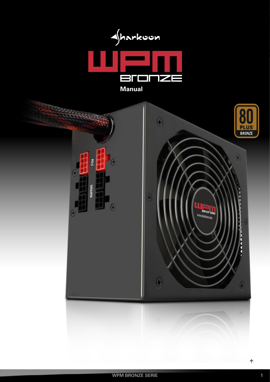

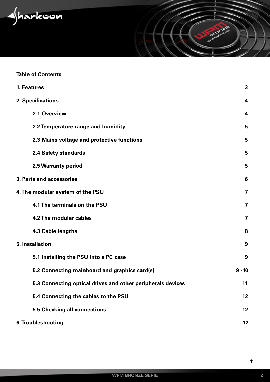<span id="page-1-0"></span>

# **Table of Contents**

| 1. Features                                                 | 3                       |
|-------------------------------------------------------------|-------------------------|
| 2. Specifications                                           | 4                       |
| 2.1 Overview                                                | $\overline{\mathbf{4}}$ |
| 2.2 Temperature range and humidity                          | 5                       |
| 2.3 Mains voltage and protective functions                  | 5                       |
| <b>2.4 Safety standards</b>                                 | 5                       |
| 2.5 Warranty period                                         | 5                       |
| 3. Parts and accessories                                    | 6                       |
| 4. The modular system of the PSU                            | 7                       |
| 4.1 The terminals on the PSU                                | 7                       |
| 4.2 The modular cables                                      | 7                       |
| 4.3 Cable lengths                                           | 8                       |
| <b>5. Installation</b>                                      | 9                       |
| 5.1 Installing the PSU into a PC case                       | 9                       |
| 5.2 Connecting mainboard and graphics card(s)               | $9 - 10$                |
| 5.3 Connecting optical drives and other peripherals devices | 11                      |
| 5.4 Connecting the cables to the PSU                        | 12                      |
| <b>5.5 Checking all connections</b>                         | 12                      |
| 6. Troubleshooting                                          | 12                      |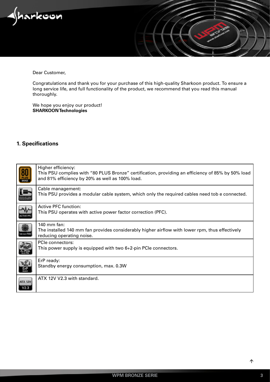<span id="page-2-0"></span>

Dear Customer,

Congratulations and thank you for your purchase of this high-quality Sharkoon product. To ensure a long service life, and full functionality of the product, we recommend that you read this manual thoroughly.

We hope you enjoy our product! **SHARKOON Technologies**

# **1. Specifications**

|                | Higher efficiency:<br>This PSU complies with "80 PLUS Bronze" certification, providing an efficiency of 85% by 50% load<br>and 81% efficiency by 20% as well as 100% load. |
|----------------|----------------------------------------------------------------------------------------------------------------------------------------------------------------------------|
|                | Cable management:<br>This PSU provides a modular cable system, which only the required cables need tob e connected.                                                        |
|                | Active PFC function:<br>This PSU operates with active power factor correction (PFC).                                                                                       |
|                | 140 mm fan:<br>The installed 140 mm fan provides considerably higher airflow with lower rpm, thus effectively<br>reducing operating noise.                                 |
|                | PCIe connectors:<br>This power supply is equipped with two 6+2-pin PCIe connectors.                                                                                        |
|                | ErP ready:<br>Standby energy consumption, max. 0.3W                                                                                                                        |
| <b>ATX 12V</b> | ATX 12V V2.3 with standard.                                                                                                                                                |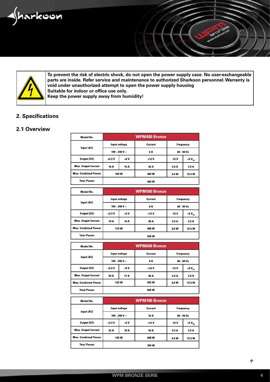<span id="page-3-0"></span>



**To prevent the risk of electric shock, do not open the power supply case. No user-exchangeable parts are inside. Refer service and maintenance to authorized Sharkoon personnel. Warranty is void under unauthorized attempt to open the power supply housing Suitable for indoor or office use only. Keep the power supply away from humidity!**

# **2. Specifications**

# **2.1 Overview**

| Model No.                  | <b>WPM400 Bronze</b> |       |         |           |             |
|----------------------------|----------------------|-------|---------|-----------|-------------|
| Input (AC)                 | Input voltage        |       | Current | Frequency |             |
|                            | 100 - 240 V $\sim$   |       | 6 A     | 60 50 Hz  |             |
| Output (DC)                | $+3.3V$              | $+5V$ | +12 V   | -12 V     | +5 $V_{SB}$ |
| <b>Max. Output Current</b> | 16 A                 | 15 A  | 30 A    | 03A       | 2.5 A       |
| <b>Max. Combined Power</b> | 100 W                |       | 360 W   | 3.6 W     | 12.5 W      |
| <b>Total Power</b>         | 400 W                |       |         |           |             |

| Model No.                  | <b>WPM500 Bronze</b> |       |         |            |             |
|----------------------------|----------------------|-------|---------|------------|-------------|
| Input voltage              |                      |       | Current | Frequency  |             |
| Input (AC)                 | 100 - 240 V $\sim$   |       | 8 A     | 60 - 50 Hz |             |
| Output (DC)                | $+3.3V$              | $+5V$ | $+12V$  | 12V        | +5 $V_{SB}$ |
| <b>Max. Output Current</b> | 18 A                 | 16 A  | 38 A    | 0.3 A      | 2.5 A       |
| <b>Max. Combined Power</b> | 110W                 |       | 456 W   | 3.6 W      | 12.5 W      |
| <b>Total Power</b>         |                      |       | 500 W   |            |             |

| Model No.                  | <b>WPM600 Bronze</b> |       |         |             |             |
|----------------------------|----------------------|-------|---------|-------------|-------------|
|                            | Input voltage        |       | Current | Frequency   |             |
| Input (AC)                 | 100 - 240 V $\sim$   |       | 9 A     | 60 - 50 Hz  |             |
| Output (DC)                | $+3.3V$              | $+5V$ | $+12V$  | <b>12 V</b> | +5 $V_{SB}$ |
| <b>Max. Output Current</b> | 20 A                 | 17 A  | 46 A    | 03A         | 2.5 A       |
| <b>Max. Combined Power</b> | 120 W                |       | 552 W   | 3.6 W       | 12.5 W      |
| <b>Total Power</b>         | 600 W                |       |         |             |             |

| Model No.                  | <b>WPM700 Bronze</b> |       |         |           |             |
|----------------------------|----------------------|-------|---------|-----------|-------------|
|                            | Input voltage        |       | Current | Frequency |             |
| Input (AC)                 | 100 - 240 V $\sim$   |       | 10 A    | 60 50 Hz  |             |
| Output (DC)                | $+3.3V$              | $+5V$ | +12 V   | $-12V$    | +5 $V_{SB}$ |
| <b>Max. Output Current</b> | 22 A                 | 18 A  | 54 A    | 0.3 A     | 25A         |
| <b>Max. Combined Power</b> | 130 W                |       | 648 W   | 3.6 W     | 12.5W       |
| <b>Total Power</b>         | 700 W                |       |         |           |             |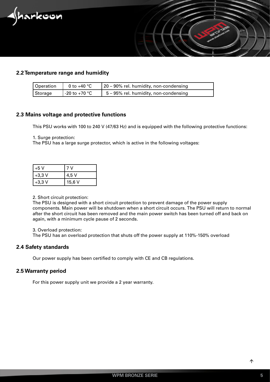<span id="page-4-0"></span>



| Operation | 0 to +40 $^{\circ}$ C    | 20 – 90% rel. humidity, non-condensing   |
|-----------|--------------------------|------------------------------------------|
| Storage   | $\frac{1}{20}$ to +70 °C | $5 - 95\%$ rel. humidity, non-condensing |

# **2.3 Mains voltage and protective functions**

This PSU works with 100 to 240 V (47/63 Hz) and is equipped with the following protective functions:

1. Surge protection:

The PSU has a large surge protector, which is active in the following voltages:

| +5 V     |        |
|----------|--------|
| $+3,3$ V | 4,5 V  |
| $+3,3$ V | 15,6 V |

#### 2. Short circuit protection:

The PSU is designed with a short circuit protection to prevent damage of the power supply components. Main power will be shutdown when a short circuit occurs. The PSU will return to normal after the short circuit has been removed and the main power switch has been turned off and back on again, with a minimum cycle pause of 2 seconds.

3. Overload protection:

The PSU has an overload protection that shuts off the power supply at 110%-150% overload

### **2.4 Safety standards**

Our power supply has been certified to comply with CE and CB regulations.

### **2.5 Warranty period**

For this power supply unit we provide a 2 year warranty.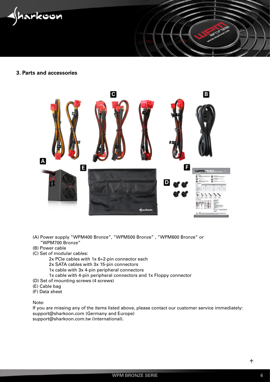<span id="page-5-0"></span>iarkoon

# **3. Parts and accessories**



- (A) Power supply "WPM400 Bronze", "WPM500 Bronze" , "WPM600 Bronze" or "WPM700 Bronze"
- (B) Power cable
- (C) Set of modular cables:

2x PCIe cables with 1x 6+2-pin connector each

- 2x SATA cables with 3x 15-pin connectors
- 1x cable with 3x 4-pin peripheral connectors
- 1x cable with 4-pin peripheral connectors and 1x Floppy connector
- (D) Set of mounting screws (4 screws)
- (E) Cable bag
- (F) Data sheet

Note:

If you are missing any of the items listed above, please contact our customer service immediately: support@sharkoon.com (Germany and Europe) support@sharkoon.com.tw (international).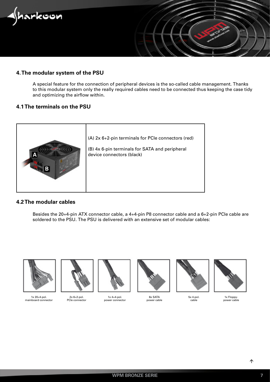<span id="page-6-0"></span>

# **4. The modular system of the PSU**

A special feature for the connection of peripheral devices is the so-called cable management. Thanks to this modular system only the really required cables need to be connected thus keeping the case tidy and optimizing the airflow within.

# **4.1 The terminals on the PSU**



# **4.2 The modular cables**

Besides the 20+4-pin ATX connector cable, a 4+4-pin P8 connector cable and a 6+2-pin PCIe cable are soldered to the PSU. The PSU is delivered with an extensive set of modular cables:



1x 20+4-pol. mainboard connector



2x 6+2-pol. PCIe connector

1x 4+4-pol.



6x SATA power cable



5x 4-pol. cable



1x Floppypower cable

power connector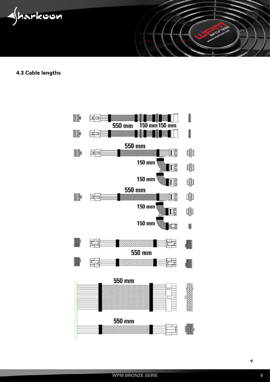<span id="page-7-0"></span>

**4.3 Cable lengths**

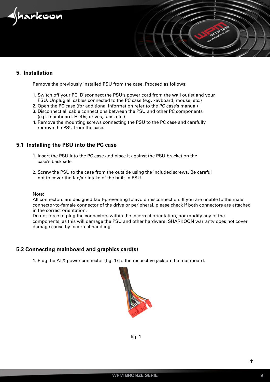<span id="page-8-0"></span>

# **5. Installation**

Remove the previously installed PSU from the case. Proceed as follows:

- 1. Switch off your PC. Disconnect the PSU's power cord from the wall outlet and your PSU. Unplug all cables connected to the PC case (e.g. keyboard, mouse, etc.)
- 2. Open the PC case (for additional information refer to the PC case's manual)
- 3. Disconnect all cable connections between the PSU and other PC components (e.g. mainboard, HDDs, drives, fans, etc.).
- 4. Remove the mounting screws connecting the PSU to the PC case and carefully remove the PSU from the case.

# **5.1 Installing the PSU into the PC case**

- 1. Insert the PSU into the PC case and place it against the PSU bracket on the case's back side
- 2. Screw the PSU to the case from the outside using the included screws. Be careful not to cover the fan/air intake of the built-in PSU.

Note:

All connectors are designed fault-preventing to avoid misconnection. If you are unable to the male connector-to-female connector of the drive or peripheral, please check if both connectors are attached in the correct orientation.

Do not force to plug the connectors within the incorrect orientation, nor modify any of the components, as this will damage the PSU and other hardware. SHARKOON warranty does not cover damage cause by incorrect handling.

# **5.2 Connecting mainboard and graphics card(s)**

1. Plug the ATX power connector (fig. 1) to the respective jack on the mainboard.



fig. 1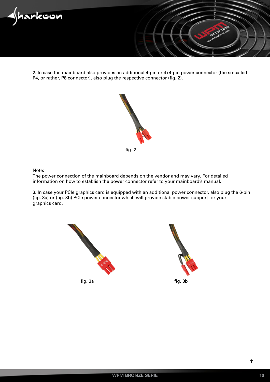

2. In case the mainboard also provides an additional 4-pin or 4+4-pin power connector (the so-called P4, or rather, P8 connector), also plug the respective connector (fig. 2).



Note:

The power connection of the mainboard depends on the vendor and may vary. For detailed information on how to establish the power connector refer to your mainboard's manual.

3. In case your PCIe graphics card is equipped with an additional power connector, also plug the 6-pin (fig. 3a) or (fig. 3b) PCIe power connector which will provide stable power support for your graphics card.



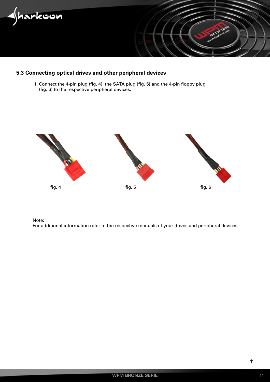<span id="page-10-0"></span>

# **5.3 Connecting optical drives and other peripheral devices**

 1. Connect the 4-pin plug (fig. 4), the SATA plug (fig. 5) and the 4-pin floppy plug (fig. 6) to the respective peripheral devices.



Note:

For additional information refer to the respective manuals of your drives and peripheral devices.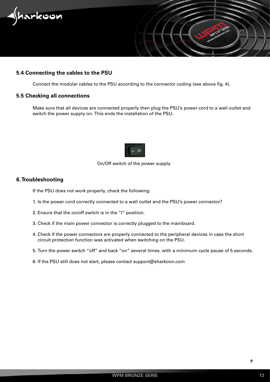<span id="page-11-0"></span>

# **5.4 Connecting the cables to the PSU**

Connect the modular cables to the PSU according to the connector coding (see above fig. 4).

#### **5.5 Checking all connections**

Make sure that all devices are connected properly then plug the PSU's power cord to a wall outlet and switch the power supply on. This ends the installation of the PSU.



# On/Off switch of the power supply

#### **6. Troubleshooting**

If the PSU does not work properly, check the following:

- 1. Is the power cord correctly connected to a wall outlet and the PSU's power connector?
- 2. Ensure that the on/off switch is in the "I" position.
- 3. Check if the main power connector is correctly plugged to the mainboard.
- 4. Check if the power connectors are properly connected to the peripheral devices in case the short circuit protection function was activated when switching on the PSU.
- 5. Turn the power switch "off" and back "on" several times, with a minimum cycle pause of 5 seconds.
- 6. If the PSU still does not start, please contact support@sharkoon.com